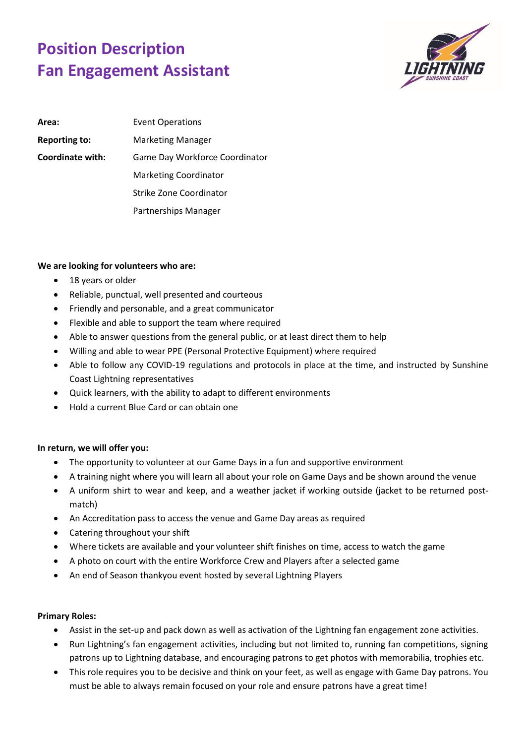## **Position Description Fan Engagement Assistant**



| Area:                | <b>Event Operations</b>        |
|----------------------|--------------------------------|
| <b>Reporting to:</b> | <b>Marketing Manager</b>       |
| Coordinate with:     | Game Day Workforce Coordinator |
|                      | <b>Marketing Coordinator</b>   |
|                      | Strike Zone Coordinator        |
|                      | Partnerships Manager           |

## **We are looking for volunteers who are:**

- 18 years or older
- Reliable, punctual, well presented and courteous
- Friendly and personable, and a great communicator
- Flexible and able to support the team where required
- Able to answer questions from the general public, or at least direct them to help
- Willing and able to wear PPE (Personal Protective Equipment) where required
- Able to follow any COVID-19 regulations and protocols in place at the time, and instructed by Sunshine Coast Lightning representatives
- Quick learners, with the ability to adapt to different environments
- Hold a current Blue Card or can obtain one

## **In return, we will offer you:**

- The opportunity to volunteer at our Game Days in a fun and supportive environment
- A training night where you will learn all about your role on Game Days and be shown around the venue
- A uniform shirt to wear and keep, and a weather jacket if working outside (jacket to be returned postmatch)
- An Accreditation pass to access the venue and Game Day areas as required
- Catering throughout your shift
- Where tickets are available and your volunteer shift finishes on time, access to watch the game
- A photo on court with the entire Workforce Crew and Players after a selected game
- An end of Season thankyou event hosted by several Lightning Players

## **Primary Roles:**

- Assist in the set-up and pack down as well as activation of the Lightning fan engagement zone activities.
- Run Lightning's fan engagement activities, including but not limited to, running fan competitions, signing patrons up to Lightning database, and encouraging patrons to get photos with memorabilia, trophies etc.
- This role requires you to be decisive and think on your feet, as well as engage with Game Day patrons. You must be able to always remain focused on your role and ensure patrons have a great time!